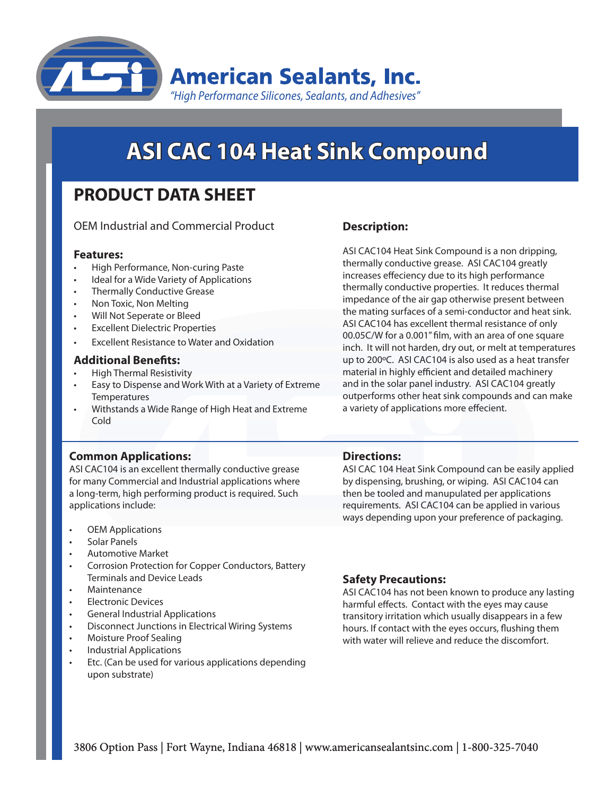

# **ASI CAC 104 Heat Sink Compound**

## **PRODUCT DATA SHEET**

OEM Industrial and Commercial Product

#### **Features:**

- High Performance, Non-curing Paste
- Ideal for a Wide Variety of Applications
- Thermally Conductive Grease
- Non Toxic, Non Melting
- Will Not Seperate or Bleed
- **Excellent Dielectric Properties**
- **Excellent Resistance to Water and Oxidation**

#### **Additional Benefits:**

- **High Thermal Resistivity**
- Easy to Dispense and Work With at a Variety of Extreme **Temperatures**
- Withstands a Wide Range of High Heat and Extreme Cold

#### **Common Applications:**

ASI CAC104 is an excellent thermally conductive grease for many Commercial and Industrial applications where a long-term, high performing product is required. Such applications include:

- **OEM Applications**
- Solar Panels
- Automotive Market
- Corrosion Protection for Copper Conductors, Battery Terminals and Device Leads
- **Maintenance**
- **Electronic Devices**
- **General Industrial Applications**
- Disconnect Junctions in Electrical Wiring Systems
- **Moisture Proof Sealing**
- **Industrial Applications**
- Etc. (Can be used for various applications depending upon substrate)

### **Description:**

ASI CAC104 Heat Sink Compound is a non dripping, thermally conductive grease. ASI CAC104 greatly increases effeciency due to its high performance thermally conductive properties. It reduces thermal impedance of the air gap otherwise present between the mating surfaces of a semi-conductor and heat sink. ASI CAC104 has excellent thermal resistance of only 00.05C/W for a 0.001" film, with an area of one square inch. It will not harden, dry out, or melt at temperatures up to 200ºC. ASI CAC104 is also used as a heat transfer material in highly efficient and detailed machinery and in the solar panel industry. ASI CAC104 greatly outperforms other heat sink compounds and can make a variety of applications more effecient.

#### **Directions:**

ASI CAC 104 Heat Sink Compound can be easily applied by dispensing, brushing, or wiping. ASI CAC104 can then be tooled and manupulated per applications requirements. ASI CAC104 can be applied in various ways depending upon your preference of packaging.

#### **Safety Precautions:**

ASI CAC104 has not been known to produce any lasting harmful effects. Contact with the eyes may cause transitory irritation which usually disappears in a few hours. If contact with the eyes occurs, flushing them with water will relieve and reduce the discomfort.